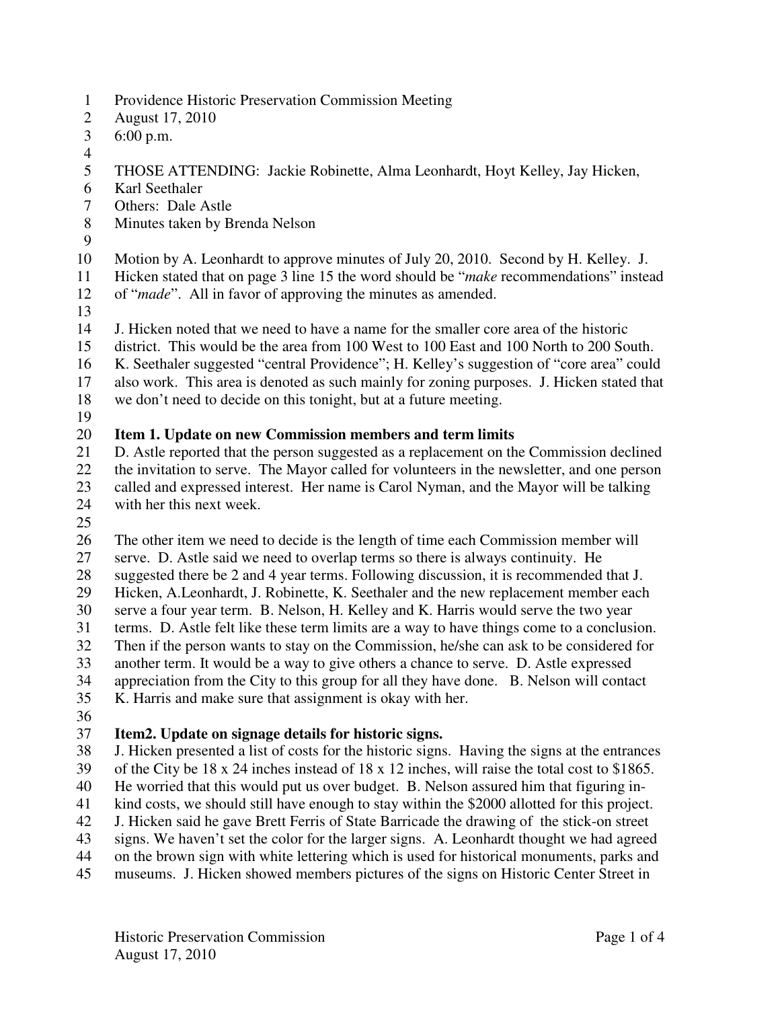- 1 Providence Historic Preservation Commission Meeting
- 2 August 17, 2010
- 3 6:00 p.m.
- 4
- 5 THOSE ATTENDING: Jackie Robinette, Alma Leonhardt, Hoyt Kelley, Jay Hicken,
- 6 Karl Seethaler
- 7 Others: Dale Astle
- 8 Minutes taken by Brenda Nelson
- 9

10 Motion by A. Leonhardt to approve minutes of July 20, 2010. Second by H. Kelley. J.

11 Hicken stated that on page 3 line 15 the word should be "*make* recommendations" instead 12 of "*made*". All in favor of approving the minutes as amended.

13

14 J. Hicken noted that we need to have a name for the smaller core area of the historic

- 15 district. This would be the area from 100 West to 100 East and 100 North to 200 South.
- 16 K. Seethaler suggested "central Providence"; H. Kelley's suggestion of "core area" could
- 17 also work. This area is denoted as such mainly for zoning purposes. J. Hicken stated that
- 18 we don't need to decide on this tonight, but at a future meeting.
- 19

# 20 **Item 1. Update on new Commission members and term limits**<br>21 **D** Astle reported that the person suggested as a replacement on the

21 D. Astle reported that the person suggested as a replacement on the Commission declined 22 the invitation to serve. The Mayor called for volunteers in the newsletter, and one person 23 called and expressed interest. Her name is Carol Nyman, and the Mayor will be talking 24 with her this next week.

25

26 The other item we need to decide is the length of time each Commission member will

27 serve. D. Astle said we need to overlap terms so there is always continuity. He

28 suggested there be 2 and 4 year terms. Following discussion, it is recommended that J.

29 Hicken, A.Leonhardt, J. Robinette, K. Seethaler and the new replacement member each 30 serve a four year term. B. Nelson, H. Kelley and K. Harris would serve the two year

31 terms. D. Astle felt like these term limits are a way to have things come to a conclusion.

32 Then if the person wants to stay on the Commission, he/she can ask to be considered for

33 another term. It would be a way to give others a chance to serve. D. Astle expressed

34 appreciation from the City to this group for all they have done. B. Nelson will contact

35 K. Harris and make sure that assignment is okay with her.

36

### 37 **Item2. Update on signage details for historic signs.**

38 J. Hicken presented a list of costs for the historic signs. Having the signs at the entrances 39 of the City be 18 x 24 inches instead of 18 x 12 inches, will raise the total cost to \$1865.

40 He worried that this would put us over budget. B. Nelson assured him that figuring in-

41 kind costs, we should still have enough to stay within the \$2000 allotted for this project.

42 J. Hicken said he gave Brett Ferris of State Barricade the drawing of the stick-on street

43 signs. We haven't set the color for the larger signs. A. Leonhardt thought we had agreed

44 on the brown sign with white lettering which is used for historical monuments, parks and

45 museums. J. Hicken showed members pictures of the signs on Historic Center Street in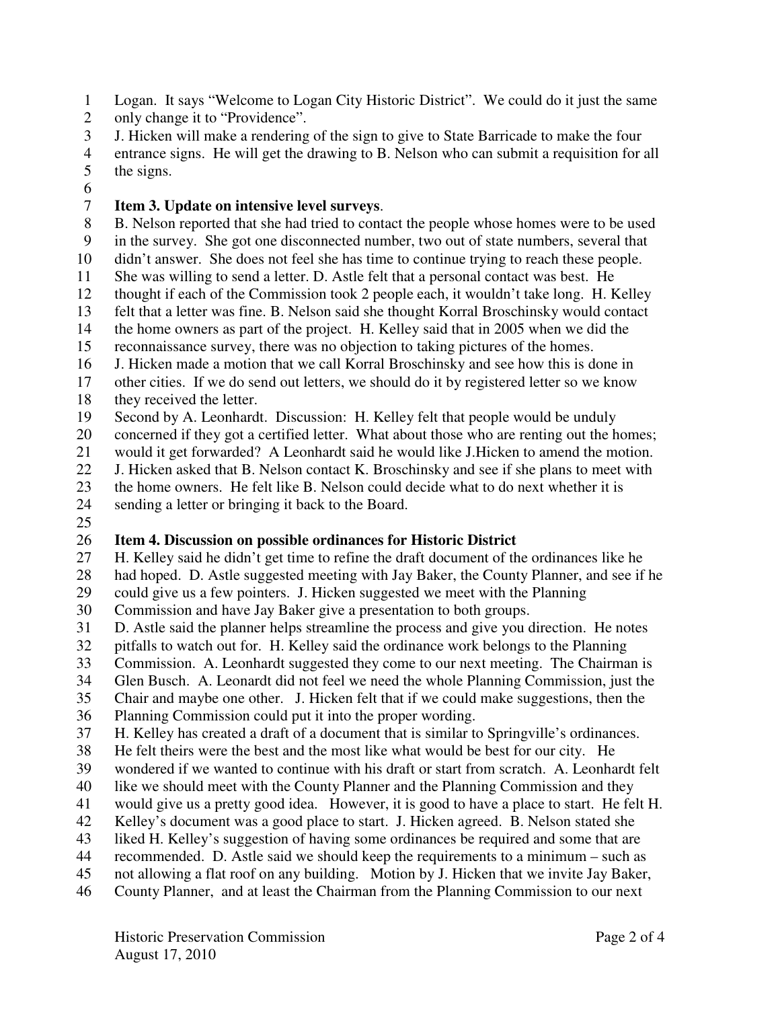- 1 Logan. It says "Welcome to Logan City Historic District". We could do it just the same
- 2 only change it to "Providence".
- 3 J. Hicken will make a rendering of the sign to give to State Barricade to make the four
- 4 entrance signs. He will get the drawing to B. Nelson who can submit a requisition for all 5 the signs.
- 6

#### 7 **Item 3. Update on intensive level surveys**.

- 8 B. Nelson reported that she had tried to contact the people whose homes were to be used
- 9 in the survey. She got one disconnected number, two out of state numbers, several that
- 10 didn't answer. She does not feel she has time to continue trying to reach these people.
- 11 She was willing to send a letter. D. Astle felt that a personal contact was best. He
- 12 thought if each of the Commission took 2 people each, it wouldn't take long. H. Kelley
- 13 felt that a letter was fine. B. Nelson said she thought Korral Broschinsky would contact
- 14 the home owners as part of the project. H. Kelley said that in 2005 when we did the
- 15 reconnaissance survey, there was no objection to taking pictures of the homes.
- 16 J. Hicken made a motion that we call Korral Broschinsky and see how this is done in
- 17 other cities. If we do send out letters, we should do it by registered letter so we know 18 they received the letter.
- 19 Second by A. Leonhardt. Discussion: H. Kelley felt that people would be unduly
- 
- 20 concerned if they got a certified letter. What about those who are renting out the homes;<br>21 would it get forwarded? A Leonhardt said he would like J. Hicken to amend the motion. would it get forwarded? A Leonhardt said he would like J.Hicken to amend the motion.
- 22 J. Hicken asked that B. Nelson contact K. Broschinsky and see if she plans to meet with
- 23 the home owners. He felt like B. Nelson could decide what to do next whether it is
- 24 sending a letter or bringing it back to the Board.
- 25

### 26 **Item 4. Discussion on possible ordinances for Historic District**

- 27 H. Kelley said he didn't get time to refine the draft document of the ordinances like he 28 had hoped. D. Astle suggested meeting with Jay Baker, the County Planner, and see if he
- 29 could give us a few pointers. J. Hicken suggested we meet with the Planning
- 30 Commission and have Jay Baker give a presentation to both groups.
- 31 D. Astle said the planner helps streamline the process and give you direction. He notes
- 32 pitfalls to watch out for. H. Kelley said the ordinance work belongs to the Planning
- 33 Commission. A. Leonhardt suggested they come to our next meeting. The Chairman is
- 34 Glen Busch. A. Leonardt did not feel we need the whole Planning Commission, just the
- 35 Chair and maybe one other. J. Hicken felt that if we could make suggestions, then the
- 36 Planning Commission could put it into the proper wording.
- 37 H. Kelley has created a draft of a document that is similar to Springville's ordinances.
- 38 He felt theirs were the best and the most like what would be best for our city. He
- 39 wondered if we wanted to continue with his draft or start from scratch. A. Leonhardt felt
- 40 like we should meet with the County Planner and the Planning Commission and they
- 41 would give us a pretty good idea. However, it is good to have a place to start. He felt H.
- 42 Kelley's document was a good place to start. J. Hicken agreed. B. Nelson stated she
- 43 liked H. Kelley's suggestion of having some ordinances be required and some that are
- 44 recommended. D. Astle said we should keep the requirements to a minimum such as
- 45 not allowing a flat roof on any building. Motion by J. Hicken that we invite Jay Baker,
- 46 County Planner, and at least the Chairman from the Planning Commission to our next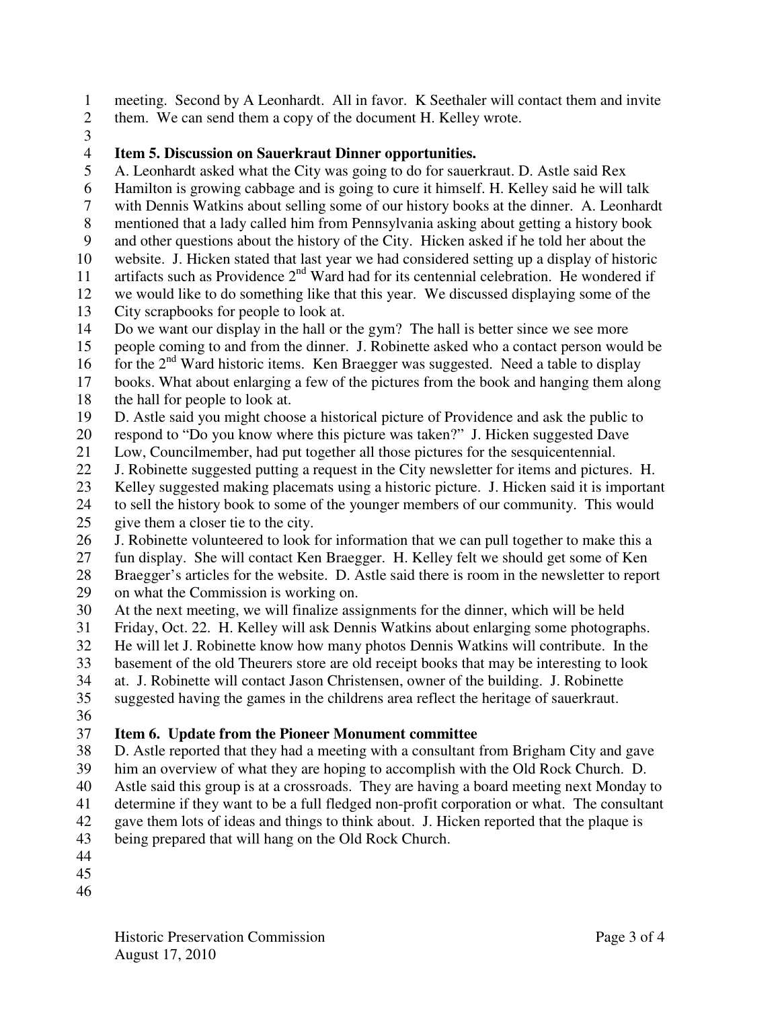1 meeting. Second by A Leonhardt. All in favor. K Seethaler will contact them and invite

- 2 them. We can send them a copy of the document H. Kelley wrote.
- 3

### 4 **Item 5. Discussion on Sauerkraut Dinner opportunities.**

- 5 A. Leonhardt asked what the City was going to do for sauerkraut. D. Astle said Rex
- 6 Hamilton is growing cabbage and is going to cure it himself. H. Kelley said he will talk
- 7 with Dennis Watkins about selling some of our history books at the dinner. A. Leonhardt
- 8 mentioned that a lady called him from Pennsylvania asking about getting a history book
- 9 and other questions about the history of the City. Hicken asked if he told her about the
- 10 website. J. Hicken stated that last year we had considered setting up a display of historic
- 11 artifacts such as Providence  $2<sup>nd</sup>$  Ward had for its centennial celebration. He wondered if
- 12 we would like to do something like that this year. We discussed displaying some of the 13 City scrapbooks for people to look at.
- 14 Do we want our display in the hall or the gym? The hall is better since we see more
- 15 people coming to and from the dinner. J. Robinette asked who a contact person would be
- 16 for the  $2<sup>nd</sup>$  Ward historic items. Ken Braegger was suggested. Need a table to display
- 17 books. What about enlarging a few of the pictures from the book and hanging them along
- 18 the hall for people to look at.
- 19 D. Astle said you might choose a historical picture of Providence and ask the public to
- 20 respond to "Do you know where this picture was taken?" J. Hicken suggested Dave
- 21 Low, Councilmember, had put together all those pictures for the sesquicentennial.
- 22 J. Robinette suggested putting a request in the City newsletter for items and pictures. H.
- 23 Kelley suggested making placemats using a historic picture. J. Hicken said it is important
- 24 to sell the history book to some of the younger members of our community. This would
- 25 give them a closer tie to the city.
- 26 J. Robinette volunteered to look for information that we can pull together to make this a
- 27 fun display. She will contact Ken Braegger. H. Kelley felt we should get some of Ken
- 28 Braegger's articles for the website. D. Astle said there is room in the newsletter to report 29 on what the Commission is working on.
- 30 At the next meeting, we will finalize assignments for the dinner, which will be held
- 31 Friday, Oct. 22. H. Kelley will ask Dennis Watkins about enlarging some photographs.
- 32 He will let J. Robinette know how many photos Dennis Watkins will contribute. In the
- 33 basement of the old Theurers store are old receipt books that may be interesting to look
- 34 at. J. Robinette will contact Jason Christensen, owner of the building. J. Robinette
- 35 suggested having the games in the childrens area reflect the heritage of sauerkraut.
- 36

## 37 **Item 6. Update from the Pioneer Monument committee**

- 38 D. Astle reported that they had a meeting with a consultant from Brigham City and gave 39 him an overview of what they are hoping to accomplish with the Old Rock Church. D.
- 40 Astle said this group is at a crossroads. They are having a board meeting next Monday to
- 41 determine if they want to be a full fledged non-profit corporation or what. The consultant
- 42 gave them lots of ideas and things to think about. J. Hicken reported that the plaque is
- 43 being prepared that will hang on the Old Rock Church.
- 44
- 45
- 46